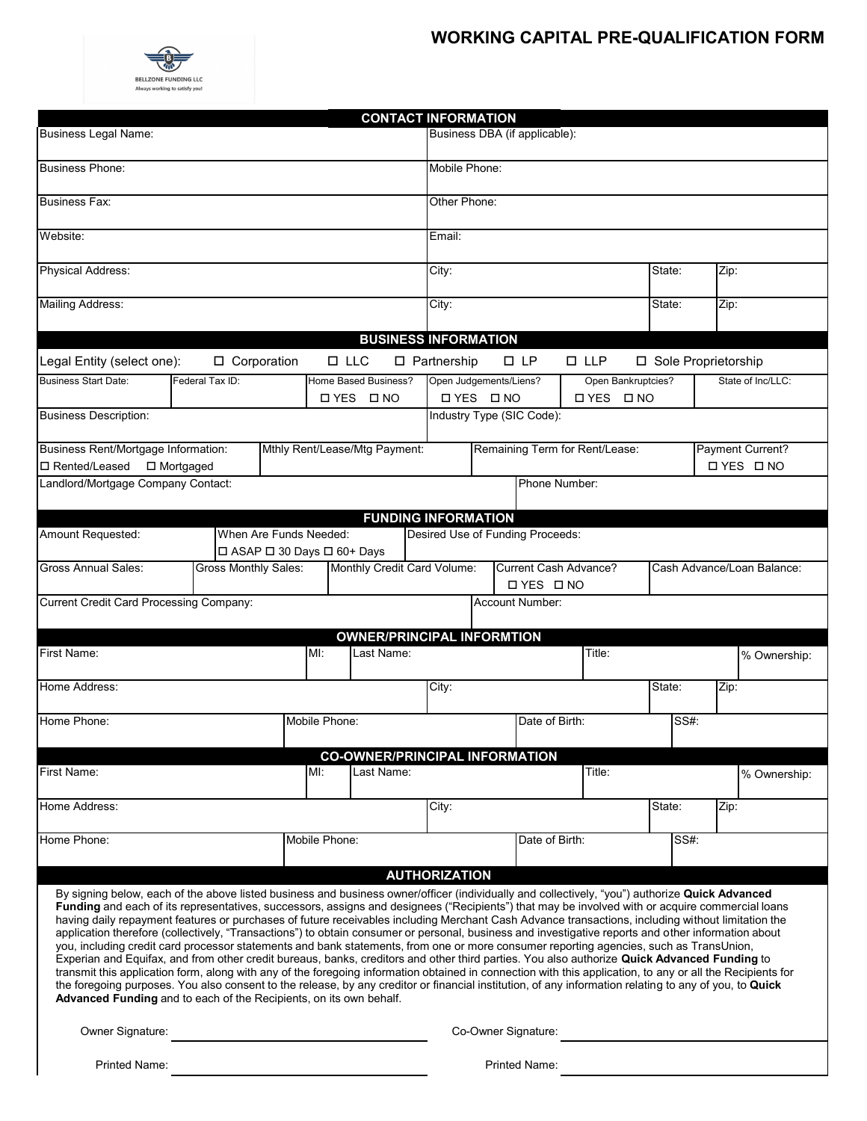## **WORKING CAPITAL PRE-QUALIFICATION FORM**



|                                                                                                                                                                                                                                                                                                                                                                                                                                                                                                                                                                                                                                                                                                                                                                                                                                                                                                                                                                                                                                                                                                                                                                                                                                                                                                      |                   |               | <b>CONTACT INFORMATION</b>                |                               |                                |                 |                    |                |                                       |  |  |
|------------------------------------------------------------------------------------------------------------------------------------------------------------------------------------------------------------------------------------------------------------------------------------------------------------------------------------------------------------------------------------------------------------------------------------------------------------------------------------------------------------------------------------------------------------------------------------------------------------------------------------------------------------------------------------------------------------------------------------------------------------------------------------------------------------------------------------------------------------------------------------------------------------------------------------------------------------------------------------------------------------------------------------------------------------------------------------------------------------------------------------------------------------------------------------------------------------------------------------------------------------------------------------------------------|-------------------|---------------|-------------------------------------------|-------------------------------|--------------------------------|-----------------|--------------------|----------------|---------------------------------------|--|--|
| Business Legal Name:                                                                                                                                                                                                                                                                                                                                                                                                                                                                                                                                                                                                                                                                                                                                                                                                                                                                                                                                                                                                                                                                                                                                                                                                                                                                                 |                   |               |                                           | Business DBA (if applicable): |                                |                 |                    |                |                                       |  |  |
| <b>Business Phone:</b>                                                                                                                                                                                                                                                                                                                                                                                                                                                                                                                                                                                                                                                                                                                                                                                                                                                                                                                                                                                                                                                                                                                                                                                                                                                                               |                   |               |                                           | Mobile Phone:                 |                                |                 |                    |                |                                       |  |  |
| <b>Business Fax:</b>                                                                                                                                                                                                                                                                                                                                                                                                                                                                                                                                                                                                                                                                                                                                                                                                                                                                                                                                                                                                                                                                                                                                                                                                                                                                                 |                   |               |                                           | Other Phone:                  |                                |                 |                    |                |                                       |  |  |
| Website:                                                                                                                                                                                                                                                                                                                                                                                                                                                                                                                                                                                                                                                                                                                                                                                                                                                                                                                                                                                                                                                                                                                                                                                                                                                                                             |                   |               |                                           | Email:                        |                                |                 |                    |                |                                       |  |  |
| <b>Physical Address:</b>                                                                                                                                                                                                                                                                                                                                                                                                                                                                                                                                                                                                                                                                                                                                                                                                                                                                                                                                                                                                                                                                                                                                                                                                                                                                             |                   |               |                                           |                               | City:                          |                 |                    | State:         | Zip:                                  |  |  |
| <b>Mailing Address:</b>                                                                                                                                                                                                                                                                                                                                                                                                                                                                                                                                                                                                                                                                                                                                                                                                                                                                                                                                                                                                                                                                                                                                                                                                                                                                              |                   |               |                                           |                               | City:                          |                 |                    | State:         | Zip:                                  |  |  |
| <b>BUSINESS INFORMATION</b>                                                                                                                                                                                                                                                                                                                                                                                                                                                                                                                                                                                                                                                                                                                                                                                                                                                                                                                                                                                                                                                                                                                                                                                                                                                                          |                   |               |                                           |                               |                                |                 |                    |                |                                       |  |  |
| □ Corporation<br>$\square$ LLC<br>□ Partnership<br>$\square$ $\mathsf{LP}$<br>$\square$ LLP<br>□ Sole Proprietorship<br>Legal Entity (select one):                                                                                                                                                                                                                                                                                                                                                                                                                                                                                                                                                                                                                                                                                                                                                                                                                                                                                                                                                                                                                                                                                                                                                   |                   |               |                                           |                               |                                |                 |                    |                |                                       |  |  |
| <b>Business Start Date:</b>                                                                                                                                                                                                                                                                                                                                                                                                                                                                                                                                                                                                                                                                                                                                                                                                                                                                                                                                                                                                                                                                                                                                                                                                                                                                          | Federal Tax ID:   |               | Home Based Business?                      |                               |                                |                 | Open Bankruptcies? |                | State of Inc/LLC:                     |  |  |
|                                                                                                                                                                                                                                                                                                                                                                                                                                                                                                                                                                                                                                                                                                                                                                                                                                                                                                                                                                                                                                                                                                                                                                                                                                                                                                      | <b>OYES DNO</b>   |               | Open Judgements/Liens?<br><b>OYES DNO</b> |                               |                                | <b>OYES ONO</b> |                    |                |                                       |  |  |
| <b>Business Description:</b>                                                                                                                                                                                                                                                                                                                                                                                                                                                                                                                                                                                                                                                                                                                                                                                                                                                                                                                                                                                                                                                                                                                                                                                                                                                                         |                   |               |                                           |                               | Industry Type (SIC Code):      |                 |                    |                |                                       |  |  |
|                                                                                                                                                                                                                                                                                                                                                                                                                                                                                                                                                                                                                                                                                                                                                                                                                                                                                                                                                                                                                                                                                                                                                                                                                                                                                                      |                   |               |                                           |                               |                                |                 |                    |                |                                       |  |  |
| Business Rent/Mortgage Information:<br>Mthly Rent/Lease/Mtg Payment:<br>□ Rented/Leased<br>$\Box$ Mortgaged                                                                                                                                                                                                                                                                                                                                                                                                                                                                                                                                                                                                                                                                                                                                                                                                                                                                                                                                                                                                                                                                                                                                                                                          |                   |               |                                           |                               | Remaining Term for Rent/Lease: |                 |                    |                | Payment Current?<br><b>□ YES □ NO</b> |  |  |
| Landlord/Mortgage Company Contact:                                                                                                                                                                                                                                                                                                                                                                                                                                                                                                                                                                                                                                                                                                                                                                                                                                                                                                                                                                                                                                                                                                                                                                                                                                                                   |                   |               |                                           |                               | Phone Number:                  |                 |                    |                |                                       |  |  |
|                                                                                                                                                                                                                                                                                                                                                                                                                                                                                                                                                                                                                                                                                                                                                                                                                                                                                                                                                                                                                                                                                                                                                                                                                                                                                                      |                   |               | <b>FUNDING INFORMATION</b>                |                               |                                |                 |                    |                |                                       |  |  |
| Amount Requested:<br>When Are Funds Needed:<br>Desired Use of Funding Proceeds:<br>□ ASAP □ 30 Days □ 60+ Days                                                                                                                                                                                                                                                                                                                                                                                                                                                                                                                                                                                                                                                                                                                                                                                                                                                                                                                                                                                                                                                                                                                                                                                       |                   |               |                                           |                               |                                |                 |                    |                |                                       |  |  |
| <b>Gross Monthly Sales:</b><br>Monthly Credit Card Volume:<br>Current Cash Advance?<br><b>Gross Annual Sales:</b><br>Cash Advance/Loan Balance:<br><b>OYES DNO</b>                                                                                                                                                                                                                                                                                                                                                                                                                                                                                                                                                                                                                                                                                                                                                                                                                                                                                                                                                                                                                                                                                                                                   |                   |               |                                           |                               |                                |                 |                    |                |                                       |  |  |
| Current Credit Card Processing Company:<br>Account Number:                                                                                                                                                                                                                                                                                                                                                                                                                                                                                                                                                                                                                                                                                                                                                                                                                                                                                                                                                                                                                                                                                                                                                                                                                                           |                   |               |                                           |                               |                                |                 |                    |                |                                       |  |  |
|                                                                                                                                                                                                                                                                                                                                                                                                                                                                                                                                                                                                                                                                                                                                                                                                                                                                                                                                                                                                                                                                                                                                                                                                                                                                                                      |                   |               |                                           |                               |                                |                 |                    |                |                                       |  |  |
|                                                                                                                                                                                                                                                                                                                                                                                                                                                                                                                                                                                                                                                                                                                                                                                                                                                                                                                                                                                                                                                                                                                                                                                                                                                                                                      |                   |               | <b>OWNER/PRINCIPAL INFORMTION</b>         |                               |                                |                 |                    |                |                                       |  |  |
| MI:<br>First Name:<br>Last Name:                                                                                                                                                                                                                                                                                                                                                                                                                                                                                                                                                                                                                                                                                                                                                                                                                                                                                                                                                                                                                                                                                                                                                                                                                                                                     |                   |               |                                           |                               | Title:                         |                 |                    | % Ownership:   |                                       |  |  |
| Home Address:                                                                                                                                                                                                                                                                                                                                                                                                                                                                                                                                                                                                                                                                                                                                                                                                                                                                                                                                                                                                                                                                                                                                                                                                                                                                                        |                   |               |                                           | City:                         |                                |                 |                    | State:<br>Zip: |                                       |  |  |
| Home Phone:<br>Mobile Phone:                                                                                                                                                                                                                                                                                                                                                                                                                                                                                                                                                                                                                                                                                                                                                                                                                                                                                                                                                                                                                                                                                                                                                                                                                                                                         |                   |               |                                           |                               |                                | Date of Birth:  |                    |                | SS#:                                  |  |  |
|                                                                                                                                                                                                                                                                                                                                                                                                                                                                                                                                                                                                                                                                                                                                                                                                                                                                                                                                                                                                                                                                                                                                                                                                                                                                                                      |                   |               | <b>CO-OWNER/PRINCIPAL INFORMATION</b>     |                               |                                |                 |                    |                |                                       |  |  |
| First Name:                                                                                                                                                                                                                                                                                                                                                                                                                                                                                                                                                                                                                                                                                                                                                                                                                                                                                                                                                                                                                                                                                                                                                                                                                                                                                          | Last Name:<br>MI: |               |                                           |                               | Title:                         |                 |                    | % Ownership:   |                                       |  |  |
| Home Address:                                                                                                                                                                                                                                                                                                                                                                                                                                                                                                                                                                                                                                                                                                                                                                                                                                                                                                                                                                                                                                                                                                                                                                                                                                                                                        |                   |               |                                           | City:                         |                                |                 | State:             | Zip:           |                                       |  |  |
| Home Phone:                                                                                                                                                                                                                                                                                                                                                                                                                                                                                                                                                                                                                                                                                                                                                                                                                                                                                                                                                                                                                                                                                                                                                                                                                                                                                          |                   | Mobile Phone: |                                           | Date of Birth:                |                                |                 | SS#:               |                |                                       |  |  |
|                                                                                                                                                                                                                                                                                                                                                                                                                                                                                                                                                                                                                                                                                                                                                                                                                                                                                                                                                                                                                                                                                                                                                                                                                                                                                                      |                   |               |                                           | <b>AUTHORIZATION</b>          |                                |                 |                    |                |                                       |  |  |
| By signing below, each of the above listed business and business owner/officer (individually and collectively, "you") authorize Quick Advanced<br>Funding and each of its representatives, successors, assigns and designees ("Recipients") that may be involved with or acquire commercial loans<br>having daily repayment features or purchases of future receivables including Merchant Cash Advance transactions, including without limitation the<br>application therefore (collectively, "Transactions") to obtain consumer or personal, business and investigative reports and other information about<br>you, including credit card processor statements and bank statements, from one or more consumer reporting agencies, such as TransUnion,<br>Experian and Equifax, and from other credit bureaus, banks, creditors and other third parties. You also authorize Quick Advanced Funding to<br>transmit this application form, along with any of the foregoing information obtained in connection with this application, to any or all the Recipients for<br>the foregoing purposes. You also consent to the release, by any creditor or financial institution, of any information relating to any of you, to Quick<br>Advanced Funding and to each of the Recipients, on its own behalf. |                   |               |                                           |                               |                                |                 |                    |                |                                       |  |  |
|                                                                                                                                                                                                                                                                                                                                                                                                                                                                                                                                                                                                                                                                                                                                                                                                                                                                                                                                                                                                                                                                                                                                                                                                                                                                                                      | Owner Signature:  |               |                                           |                               | Co-Owner Signature:            |                 |                    |                |                                       |  |  |
| Printed Name:                                                                                                                                                                                                                                                                                                                                                                                                                                                                                                                                                                                                                                                                                                                                                                                                                                                                                                                                                                                                                                                                                                                                                                                                                                                                                        |                   |               |                                           |                               | Printed Name:                  |                 |                    |                |                                       |  |  |